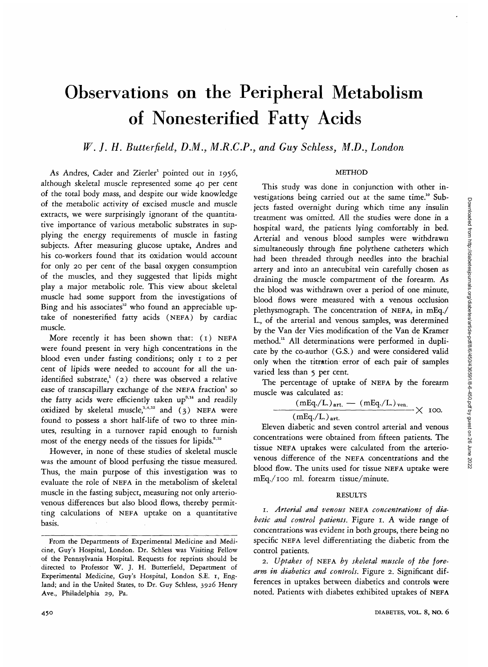# Observations on the Peripheral Metabolism of Nonesterified Fatty Acids

# *W. J. H. Butterfield, DM., M.R.C.P., and Guy Schless, M.D., London*

## **METHOD**

As Andres, Cader and Zierler<sup>1</sup> pointed out in 1956, although skeletal muscle represented some 40 per cent of the total body mass, and despite our wide knowledge of the metabolic activity of excised muscle and muscle extracts, we were surprisingly ignorant of the quantitative importance of various metabolic substrates in supplying the energy requirements of muscle in fasting subjects. After measuring glucose uptake, Andres and his co-workers found that its oxidation would account for only 20 per cent of the basal oxygen consumption of the muscles, and they suggested that lipids might play a major metabolic role. This view about skeletal muscle had some support from the investigations of Bing and his associates<sup>12</sup> who found an appreciable uptake of nonesterified fatty acids (NEFA) by cardiac muscle.

More recently it has been shown that: (1) NEFA were found present in very high concentrations in the blood even under fasting conditions; only 1 to 2 per cent of lipids were needed to account for all the unidentified substrate,<sup>1</sup> (2) there was observed a relative ease of transcapillary exchange of the NEFA fraction<sup>1</sup> so the fatty acids were efficiently taken  $up^{3,14}$  and readily oxidized by skeletal muscle,  $1,4,12$  and  $(3)$  NEFA were found to possess a short half-life of two to three minutes, resulting in a turnover rapid enough to furnish most of the energy needs of the tissues for lipids. $3,15$ 

However, in none of these studies of skeletal muscle was the amount of blood perfusing the tissue measured. Thus, the main purpose of this investigation was to evaluate the role of NEFA in the metabolism of skeletal muscle in the fasting subject, measuring not only arteriovenous differences but also blood flows, thereby permitting calculations of NEFA uptake on a quantitative basis.

This study was done in conjunction with other investigations being carried out at the same time.<sup>10</sup> Subjects fasted overnight during which time any insulin treatment was omitted. All the studies were done in a hospital ward, the patients lying comfortably in bed. Arterial and venous blood samples were withdrawn simultaneously through fine polythene catheters which had been threaded through needles into the brachial artery and into an antecubital vein carefully chosen as draining the muscle compartment of the forearm. As the blood was withdrawn over a period of one minute, blood flows were measured with a venous occlusion plethysmograph. The concentration of NEFA, in mEq./ L, of the arterial and venous samples, was determined by the Van der Vies modification of the Van de Kramer method.<sup>11</sup> All determinations were performed in duplicate by the co-author (G.S.) and were considered valid only when the titration error of each pair of samples varied less than 5 per cent.

The percentage of uptake of NEFA by the forearm muscle was calculated as:

$$
\frac{\left(\text{mEq.}/\text{L.}\right)_{\text{art.}} - \left(\text{mEq.}/\text{L.}\right)_{\text{ven.}}}{\left(\text{mEq.}/\text{L.}\right)_{\text{art.}}}\times 100.
$$

Eleven diabetic and seven control arterial and venous concentrations were obtained from fifteen patients. The tissue NEFA uptakes were calculated from the arteriovenous difference of the NEFA concentrations and the blood flow. The units used for tissue NEFA uptake were blood flow. The units used for tissue NETA uptake were mEq./100 ml. forearm tissue/minute.

# RESULTS

1. *Arterial and venous* NEFA *concentrations of diabetic and control patients.* Figure 1. A wide range of concentrations was evident in both groups, there being no specific NEFA level differentiating the diabetic from the control patients.

2. *Uptakes of* NEFA *by skeletal muscle of the forearm in diabetics and controls.* Figure 2. Significant differences in uptakes between diabetics and controls were noted. Patients with diabetes exhibited uptakes of NEFA

From the Departments of Experimental Medicine and Medicine, Guy's Hospital, London. Dr. Schless was Visiting Fellow of the Pennsylvania Hospital. Requests for reprints should be directed to Professor W. J. H. Butterfield, Department of Experimental Medicine, Guy's Hospital, London S.E. 1, England; and in the United States, to Dr. Guy Schless, 3926 Henry Ave., Philadelphia 29, Pa.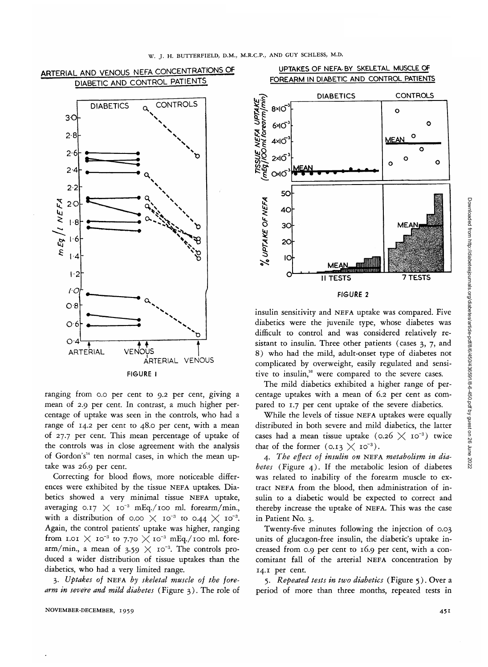

ranging from o.o per cent to 9.2 per cent, giving a mean of 2.9 per cent. In contrast, a much higher percentage of uptake was seen in the controls, who had a range of 14.2 per cent to 48.0 per cent, with a mean of 27.7 per cent. This mean percentage of uptake of the controls was in close agreement with the analysis of Gordon's<sup>14</sup> ten normal cases, in which the mean uptake was 26.9 per cent.

Correcting for blood flows, more noticeable differences were exhibited by the tissue NEFA uptakes. Diabetics showed a very minimal tissue NEFA uptake, averaging 0.17  $\times$  10<sup>-3</sup> mEq./100 ml. forearm/min., with a distribution of 0.00  $\overline{\times}$  10<sup>-3</sup> to 0.44  $\overline{\times}$  10<sup>-3</sup> Again, the control patients' uptake was higher, ranging from 1.01  $\times$  10<sup>-3</sup> to 7.70  $\times$  10<sup>-3</sup> mEq./100 ml. forearm/min., a mean of 3.59  $\times$  10<sup>-3</sup>. The controls produced a wider distribution of tissue uptakes than the diabetics, who had a very limited range.

3. *Uptakes of* NEFA *by skeletal muscle of the forearm in severe and mild diabetes* (Figure 3). The role of

# UPTAKES OF NEFA. BY SKELETAL MUSCLE OF FOREARM IN DIABETIC AND CONTROL PATIENTS



#### FIGURE 2

insulin sensitivity and NEFA uptake was compared. Five diabetics were the juvenile type, whose diabetes was difficult to control and was considered relatively resistant to insulin. Three other patients (cases 3, 7, and 8) who had the mild, adult-onset type of diabetes not complicated by overweight, easily regulated and sensitive to insulin,<sup>16</sup> were compared to the severe cases.

The mild diabetics exhibited a higher range of percentage uptakes with a mean of 6.2 per cent as compared to 1.7 per cent uptake of the severe diabetics.

While the levels of tissue NEFA uptakes were equally distributed in both severe and mild diabetics, the latter cases had a mean tissue uptake (0.26  $\times$  10<sup>-3</sup>) twice that of the former  $(0.13 \times 10^{-3})$ .

4. *The effect of insulin on* NEFA *metabolism in diabetes* (Figure 4). If the metabolic lesion of diabetes was related to inability of the forearm muscle to extract NEFA from the blood, then administration of insulin to a diabetic would be expected to correct and thereby increase the uptake of NEFA. This was the case in Patient No. 3.

Twenty-five minutes following the injection of 0.03 units of glucagon-free insulin, the diabetic's uptake increased from 0.9 per cent to 16.9 per cent, with a concomitant fall of the arterial NEFA concentration by 14.1 per cent.

5. *Repeated tests in two diabetics* (Figure 5). Over a period of more than three months, repeated tests in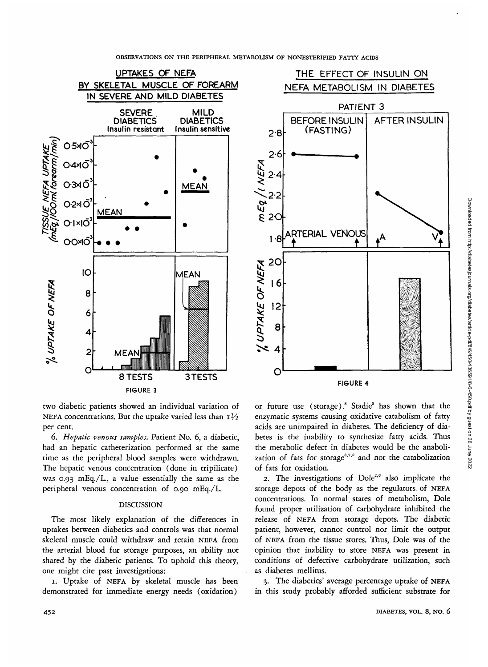

OBSERVATIONS ON THE PERIPHERAL METABOLISM OF NONESTERIFIED FATTY ACIDS



two diabetic patients showed an individual variation of NEFA concentrations. But the uptake varied less than  $I\frac{1}{2}$ per cent.

*6. Hepatic venous samples.* Patient No. 6, a diabetic, had an hepatic catheterization performed at the same time as the peripheral blood samples were withdrawn. The hepatic venous concentration (done in tripilicate) was 0.93 mEq./L, a value essentially the same as the peripheral venous concentration of 0.90 mEq./L

# DISCUSSION

The most likely explanation of the differences in uptakes between diabetics and controls was that normal skeletal muscle could withdraw and retain NEFA from the arterial blood for storage purposes, an ability not shared by the diabetic patients. To uphold this theory, one might cite past investigations:

1. Uptake of NEFA by skeletal muscle has been demonstrated for immediate energy needs (oxidation)

or future use (storage).<sup>8</sup> Stadie<sup>5</sup> has shown that the enzymatic systems causing oxidative catabolism of fatty acids are unimpaired in diabetes. The deficiency of diabetes is the inability to synthesize fatty acids. Thus the metabolic defect in diabetes would be the anabolization of fats for storage<sup>3,7,9</sup> and not the catabolization of fats for oxidation.

2. The investigations of Dole<sup>2,6</sup> also implicate the storage depots of the body as the regulators of NEFA concentrations. In normal states of metabolism, Dole found proper utilization of carbohydrate inhibited the release of NEFA from storage depots. The diabetic patient, however, cannot control nor limit the output of NEFA from the tissue stores. Thus, Dole was of the opinion that inability to store NEFA was present in conditions of defective carbohydrate utilization, such as diabetes mellitus.

3. The diabetics' average percentage uptake of NEFA in this study probably afforded sufficient substrate for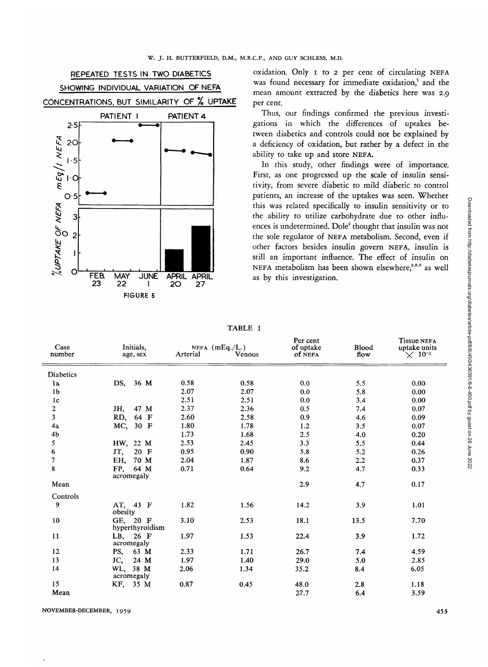

oxidation. Only i to 2 per cent of circulating NEFA was found necessary for immediate oxidation,<sup>1</sup> and the mean amount extracted by the diabetics here was 2.9 per cent.

Thus, our findings confirmed the previous investigations in which the differences of uptakes between diabetics and controls could not be explained by a deficiency of oxidation, but rather by a defect in the ability to take up and store NEFA.

In this study, other findings were of importance. First, as one progressed up the scale of insulin sensitivity, from severe diabetic to mild diabetic to control patients, an increase of the uptakes was seen. Whether this was related specifically to insulin sensitivity or to the ability to utilize carbohydrate due to other influences is undetermined. Dole<sup>2</sup> thought that insulin was not the sole regulator of NEFA metabolism. Second, even if other factors besides insulin govern NEFA, insulin is still an important influence. The effect of insulin on NEFA metabolism has been shown elsewhere,<sup>2,3,6</sup> as well as by this investigation.

| Case<br>number          | Initials,                   | NEFA $(mEq./L.)$ |        | r er cem<br>of uptake | Blood | <b>I</b> ISSUE NEFA<br>uptake units |
|-------------------------|-----------------------------|------------------|--------|-----------------------|-------|-------------------------------------|
|                         | age, sex                    | Arterial         | Venous | of NEFA               | flow  | $\times$ 10 <sup>-3</sup>           |
| Diabetics               |                             |                  |        |                       |       |                                     |
| 1a                      | 36 M<br>DS.                 | 0.58             | 0.58   | 0.0                   | 5.5   | 0.00                                |
| 1 <sub>b</sub>          |                             | 2.07             | 2.07   | 0.0                   | 5.8   | 0.00                                |
| 1 <sub>c</sub>          |                             | 2.51             | 2.51   | 0.0                   | 3.4   | 0.00                                |
| $\overline{\mathbf{c}}$ | 47 M<br>JH,                 | 2.37             | 2.36   | 0.5                   | 7.4   | 0.07                                |
| $\overline{\mathbf{3}}$ | 64 F<br>RD,                 | 2.60             | 2.58   | 0.9                   | 4.6   | 0.09                                |
| 4a                      | MC, 30 F                    | 1.80             | 1.78   | 1.2                   | 3.5   | 0.07                                |
| 4 <sub>b</sub>          |                             | 1.73             | 1.68   | 2.5                   | 4.0   | 0.20                                |
| 5                       | HW, 22 M                    | 2.53             | 2.45   | 3.3                   | 5.5   | 0.44                                |
| 6                       | JT,<br>20 F                 | 0.95             | 0.90   | 5.8                   | 5.2   | 0.26                                |
| 7                       | EH,<br>70 M                 | 2.04             | 1.87   | 8.6                   | 2.2   | 0.37                                |
| 8                       | 64 M<br>FP,<br>acromegaly   | 0.71             | 0.64   | 9.2                   | 4.7   | 0.33                                |
| Mean                    |                             |                  |        | 2.9                   | 4.7   | 0.17                                |
| Controls                |                             |                  |        |                       |       |                                     |
| 9                       | AT, 43 F<br>obesity         | 1.82             | 1.56   | 14.2                  | 3.9   | 1.01                                |
| 10                      | GE. 20 F<br>hyperthyroidism | 3.10             | 2.53   | 18.1                  | 13.5  | 7.70                                |
| 11                      | LB, 26 F<br>acromegaly      | 1.97             | 1.53   | 22.4                  | 3.9   | 1.72                                |
| 12                      | PS,<br>63 M                 | 2.33             | 1.71   | 26.7                  | 7.4   | 4.59                                |
| 13                      | JC,<br>24 M                 | 1.97             | 1.40   | 29.0                  | 5.0   | 2.85                                |
| 14                      | WL, 38 M<br>acromegaly      | 2.06             | 1.34   | 35.2                  | 8.4   | 6.05                                |
| 15                      | KF, 35 M                    | 0.87             | 0.45   | 48.0                  | 2.8   | 1.18                                |
| Mean                    |                             |                  |        | 27.7                  | 6.4   | 3.59                                |
|                         |                             |                  |        |                       |       |                                     |

| A RI<br>ı |  |
|-----------|--|
|-----------|--|

Per cent of uptake

Tissue NEFA